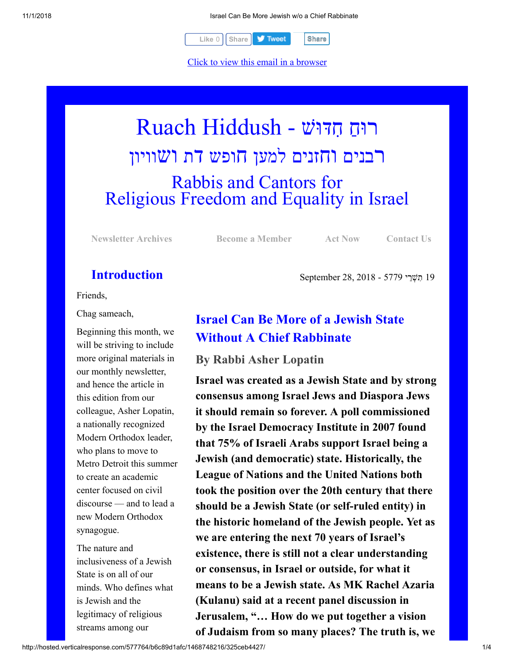

[Click to view this email in a browser](http://hosted.verticalresponse.com/577764/b6c89d1afc/TEST/TEST/)

# רוּחַ חִדּוּשׁ - Ruach Hiddush רבנים וחזנים למען חופש דת ושוויון Rabbis and Cantors for Religious Freedom and Equality in Israel

**[Newsletter Archives](http://cts.vresp.com/c/?FreedomofReligionfor/b6c89d1afc/325ceb4427/fe5d88f3ec) [Become a Member](http://cts.vresp.com/c/?FreedomofReligionfor/b6c89d1afc/325ceb4427/d6af2a446b) [Act Now](http://cts.vresp.com/c/?FreedomofReligionfor/b6c89d1afc/325ceb4427/123b6404f1) [Contact Us](http://cts.vresp.com/c/?FreedomofReligionfor/b6c89d1afc/325ceb4427/382ad88197)**

19 ִת ְשֵׁרי 5779 - 2018 28, September

## **Introduction**

Friends,

Chag sameach,

Beginning this month, we will be striving to include more original materials in our monthly newsletter, and hence the article in this edition from our colleague, Asher Lopatin, a nationally recognized Modern Orthodox leader, who plans to move to Metro Detroit this summer to create an academic center focused on civil discourse — and to lead a new Modern Orthodox synagogue.

The nature and inclusiveness of a Jewish State is on all of our minds. Who defines what is Jewish and the legitimacy of religious streams among our

# **Israel Can Be More of a Jewish State Without A Chief Rabbinate**

#### **By Rabbi Asher Lopatin**

**Israel was created as a Jewish State and by strong consensus among Israel Jews and Diaspora Jews it should remain so forever. A poll commissioned by the Israel Democracy Institute in 2007 found that 75% of Israeli Arabs support Israel being a Jewish (and democratic) state. Historically, the League of Nations and the United Nations both took the position over the 20th century that there should be a Jewish State (or self-ruled entity) in the historic homeland of the Jewish people. Yet as we are entering the next 70 years of Israel's existence, there is still not a clear understanding or consensus, in Israel or outside, for what it means to be a Jewish state. As MK Rachel Azaria (Kulanu) said at a recent panel discussion in Jerusalem, "… How do we put together a vision of Judaism from so many places? The truth is, we**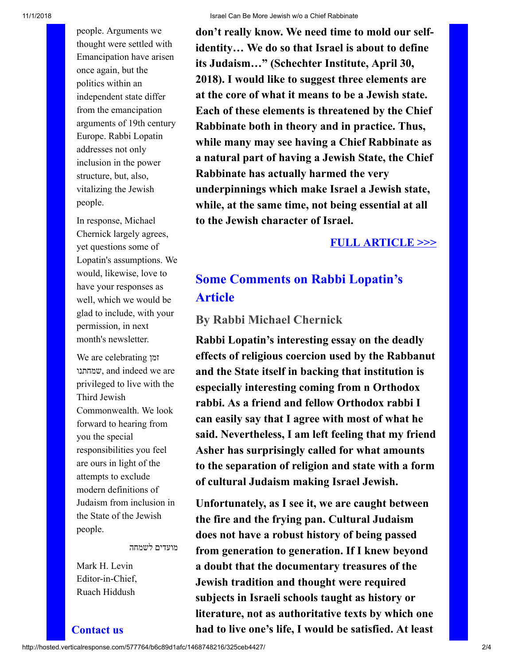11/1/2018 Israel Can Be More Jewish w/o a Chief Rabbinate

people. Arguments we thought were settled with Emancipation have arisen once again, but the politics within an independent state differ from the emancipation arguments of 19th century Europe. Rabbi Lopatin addresses not only inclusion in the power structure, but, also, vitalizing the Jewish people.

In response, Michael Chernick largely agrees, yet questions some of Lopatin's assumptions. We would, likewise, love to have your responses as well, which we would be glad to include, with your permission, in next month's newsletter.

We are celebrating זמן שמחתנו, and indeed we are privileged to live with the Third Jewish Commonwealth. We look forward to hearing from you the special responsibilities you feel are ours in light of the attempts to exclude modern definitions of Judaism from inclusion in the State of the Jewish people.

מועדים לשמחה

Mark H. Levin Editor-in-Chief, Ruach Hiddush

**Contact us**

**don't really know. We need time to mold our selfidentity… We do so that Israel is about to define its Judaism…" (Schechter Institute, April 30, 2018). I would like to suggest three elements are at the core of what it means to be a Jewish state. Each of these elements is threatened by the Chief Rabbinate both in theory and in practice. Thus, while many may see having a Chief Rabbinate as a natural part of having a Jewish State, the Chief Rabbinate has actually harmed the very underpinnings which make Israel a Jewish state, while, at the same time, not being essential at all to the Jewish character of Israel.**

### **[FULL ARTICLE >>>](http://cts.vresp.com/c/?FreedomofReligionfor/b6c89d1afc/325ceb4427/801d55212a)**

# **Some Comments on Rabbi Lopatin's Article**

### **By Rabbi Michael Chernick**

**Rabbi Lopatin's interesting essay on the deadly effects of religious coercion used by the Rabbanut and the State itself in backing that institution is especially interesting coming from n Orthodox rabbi. As a friend and fellow Orthodox rabbi I can easily say that I agree with most of what he said. Nevertheless, I am left feeling that my friend Asher has surprisingly called for what amounts to the separation of religion and state with a form of cultural Judaism making Israel Jewish.**

**Unfortunately, as I see it, we are caught between the fire and the frying pan. Cultural Judaism does not have a robust history of being passed from generation to generation. If I knew beyond a doubt that the documentary treasures of the Jewish tradition and thought were required subjects in Israeli schools taught as history or literature, not as authoritative texts by which one had to live one's life, I would be satisfied. At least**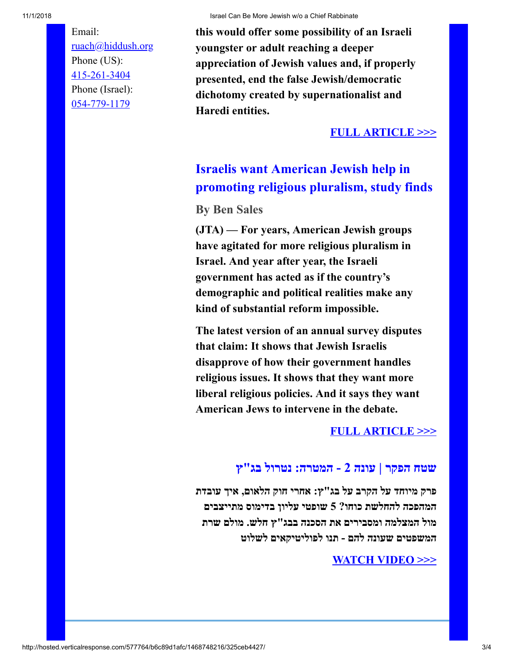11/1/2018 Israel Can Be More Jewish w/o a Chief Rabbinate

Email: [ruach@hiddush.org](http://cts.vresp.com/c/?FreedomofReligionfor/b6c89d1afc/325ceb4427/0e8d9aa123) Phone (US): [415-261-3404](http://cts.vresp.com/c/?FreedomofReligionfor/b6c89d1afc/325ceb4427/4518260fc0) Phone (Israel): [054-779-1179](http://cts.vresp.com/c/?FreedomofReligionfor/b6c89d1afc/325ceb4427/0b0d9a2a6f)

**this would offer some possibility of an Israeli youngster or adult reaching a deeper appreciation of Jewish values and, if properly presented, end the false Jewish/democratic dichotomy created by supernationalist and Haredi entities.**

#### **[FULL ARTICLE >>>](http://cts.vresp.com/c/?FreedomofReligionfor/b6c89d1afc/325ceb4427/a5e1500216)**

# **Israelis want American Jewish help in promoting religious pluralism, study finds**

**By Ben Sales**

**(JTA) — For years, American Jewish groups have agitated for more religious pluralism in Israel. And year after year, the Israeli government has acted as if the country's demographic and political realities make any kind of substantial reform impossible.**

**The latest version of an annual survey disputes that claim: It shows that Jewish Israelis disapprove of how their government handles religious issues. It shows that they want more liberal religious policies. And it says they want American Jews to intervene in the debate.**

#### **[FULL ARTICLE >>>](http://cts.vresp.com/c/?FreedomofReligionfor/b6c89d1afc/325ceb4427/91cdc85194)**

### **שטח הפקר | עונה 2 - המטרה: נטרול בג"ץ**

**פרק מיוחד על הקרב על בג"ץ: אחרי חוק הלאום, איך עובדת המהפכה להחלשת כוחו? 5 שופטי עליון בדימוס מתייצבים מול המצלמה ומסבירים את הסכנה בבג"ץ חלש. מולם שרת המשפטים שעונה להם - תנו לפוליטיקאים לשלוט**

#### **[WATCH VIDEO >>>](http://cts.vresp.com/c/?FreedomofReligionfor/b6c89d1afc/325ceb4427/20f5c7a394/v=Zr_Myh5GXbM)**